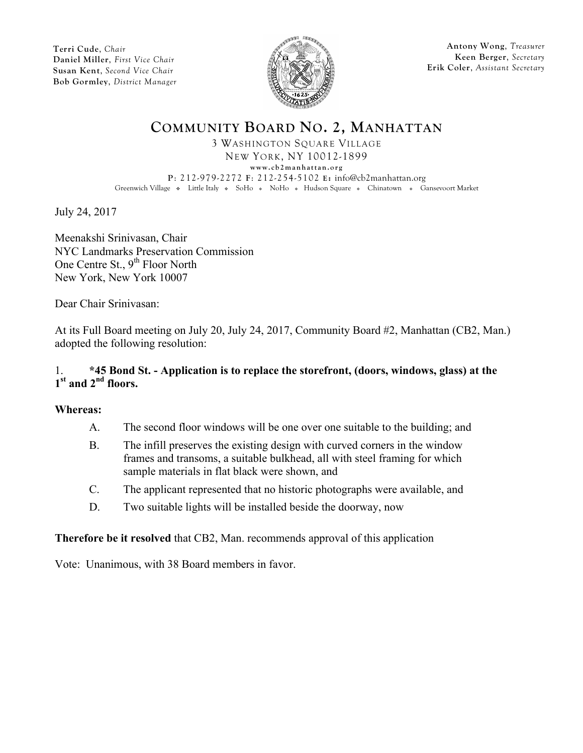

**Antony Wong**, *Treasurer* **Keen Berger**, *Secretary* **Erik Coler**, *Assistant Secretary*

# **COMMUNITY BOARD NO. 2, MANHATTAN**

3 WASHINGTON SQUARE VILLAGE NEW YORK, NY 10012-1899 **www.cb2manhattan.org P**: 212-979-2272 **F**: 212-254-5102 **E:** info@cb2manhattan.org Greenwich Village • Little Italy • SoHo • NoHo • Hudson Square • Chinatown • Gansevoort Market

July 24, 2017

Meenakshi Srinivasan, Chair NYC Landmarks Preservation Commission One Centre St., 9<sup>th</sup> Floor North New York, New York 10007

Dear Chair Srinivasan:

At its Full Board meeting on July 20, July 24, 2017, Community Board #2, Manhattan (CB2, Man.) adopted the following resolution:

### 1. **\*45 Bond St. - Application is to replace the storefront, (doors, windows, glass) at the 1st and 2nd floors.**

### **Whereas:**

- A. The second floor windows will be one over one suitable to the building; and
- B. The infill preserves the existing design with curved corners in the window frames and transoms, a suitable bulkhead, all with steel framing for which sample materials in flat black were shown, and
- C. The applicant represented that no historic photographs were available, and
- D. Two suitable lights will be installed beside the doorway, now

### **Therefore be it resolved** that CB2, Man. recommends approval of this application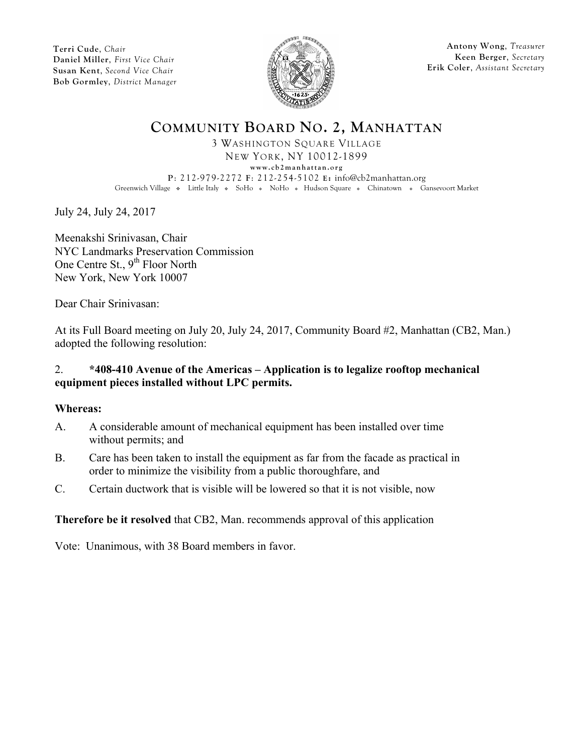

**Antony Wong**, *Treasurer* **Keen Berger**, *Secretary* **Erik Coler**, *Assistant Secretary*

# **COMMUNITY BOARD NO. 2, MANHATTAN**

3 WASHINGTON SQUARE VILLAGE NEW YORK, NY 10012-1899 **www.cb2manhattan.org P**: 212-979-2272 **F**: 212-254-5102 **E:** info@cb2manhattan.org Greenwich Village • Little Italy • SoHo • NoHo • Hudson Square • Chinatown • Gansevoort Market

July 24, July 24, 2017

Meenakshi Srinivasan, Chair NYC Landmarks Preservation Commission One Centre St., 9<sup>th</sup> Floor North New York, New York 10007

Dear Chair Srinivasan:

At its Full Board meeting on July 20, July 24, 2017, Community Board #2, Manhattan (CB2, Man.) adopted the following resolution:

### 2. **\*408-410 Avenue of the Americas – Application is to legalize rooftop mechanical equipment pieces installed without LPC permits.**

#### **Whereas:**

- A. A considerable amount of mechanical equipment has been installed over time without permits; and
- B. Care has been taken to install the equipment as far from the facade as practical in order to minimize the visibility from a public thoroughfare, and
- C. Certain ductwork that is visible will be lowered so that it is not visible, now

### **Therefore be it resolved** that CB2, Man. recommends approval of this application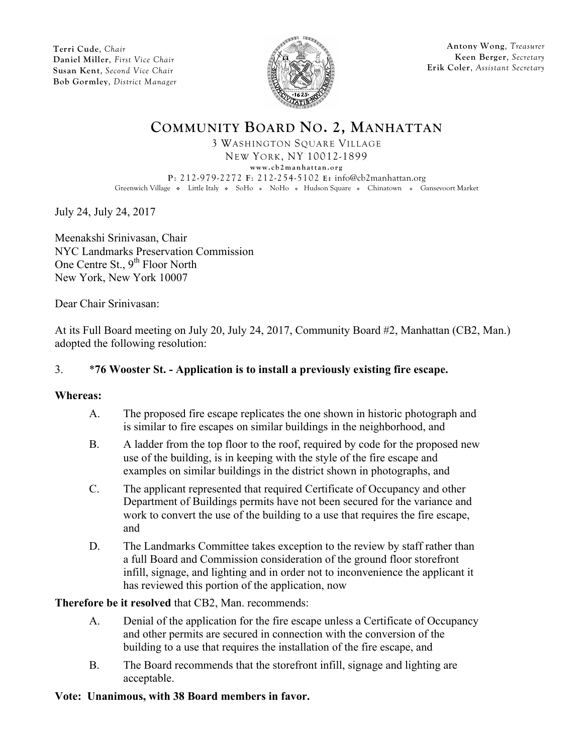

**Antony Wong**, *Treasurer* **Keen Berger**, *Secretary* **Erik Coler**, *Assistant Secretary*

# **COMMUNITY BOARD NO. 2, MANHATTAN**

3 WASHINGTON SQUARE VILLAGE NEW YORK, NY 10012-1899 **www.cb2manhattan.org P**: 212-979-2272 **F**: 212-254-5102 **E:** info@cb2manhattan.org Greenwich Village • Little Italy • SoHo • NoHo • Hudson Square • Chinatown • Gansevoort Market

July 24, July 24, 2017

Meenakshi Srinivasan, Chair NYC Landmarks Preservation Commission One Centre St., 9<sup>th</sup> Floor North New York, New York 10007

Dear Chair Srinivasan:

At its Full Board meeting on July 20, July 24, 2017, Community Board #2, Manhattan (CB2, Man.) adopted the following resolution:

### 3. \***76 Wooster St. - Application is to install a previously existing fire escape.**

#### **Whereas:**

- A. The proposed fire escape replicates the one shown in historic photograph and is similar to fire escapes on similar buildings in the neighborhood, and
- B. A ladder from the top floor to the roof, required by code for the proposed new use of the building, is in keeping with the style of the fire escape and examples on similar buildings in the district shown in photographs, and
- C. The applicant represented that required Certificate of Occupancy and other Department of Buildings permits have not been secured for the variance and work to convert the use of the building to a use that requires the fire escape, and
- D. The Landmarks Committee takes exception to the review by staff rather than a full Board and Commission consideration of the ground floor storefront infill, signage, and lighting and in order not to inconvenience the applicant it has reviewed this portion of the application, now

#### **Therefore be it resolved** that CB2, Man. recommends:

- A. Denial of the application for the fire escape unless a Certificate of Occupancy and other permits are secured in connection with the conversion of the building to a use that requires the installation of the fire escape, and
- B. The Board recommends that the storefront infill, signage and lighting are acceptable.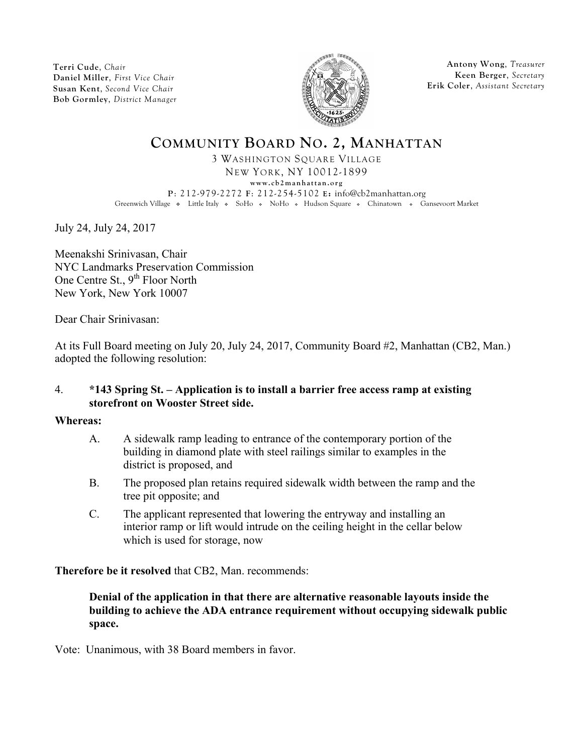

**Antony Wong**, *Treasurer* **Keen Berger**, *Secretary* **Erik Coler**, *Assistant Secretary*

# **COMMUNITY BOARD NO. 2, MANHATTAN**

3 WASHINGTON SQUARE VILLAGE NEW YORK, NY 10012-1899

**www.cb2manhattan.org**

**P**: 212-979-2272 **F**: 212-254-5102 **E:** info@cb2manhattan.org Greenwich Village • Little Italy • SoHo • NoHo • Hudson Square • Chinatown • Gansevoort Market

July 24, July 24, 2017

Meenakshi Srinivasan, Chair NYC Landmarks Preservation Commission One Centre St., 9<sup>th</sup> Floor North New York, New York 10007

Dear Chair Srinivasan:

At its Full Board meeting on July 20, July 24, 2017, Community Board #2, Manhattan (CB2, Man.) adopted the following resolution:

### 4. **\*143 Spring St. – Application is to install a barrier free access ramp at existing storefront on Wooster Street side.**

#### **Whereas:**

- A. A sidewalk ramp leading to entrance of the contemporary portion of the building in diamond plate with steel railings similar to examples in the district is proposed, and
- B. The proposed plan retains required sidewalk width between the ramp and the tree pit opposite; and
- C. The applicant represented that lowering the entryway and installing an interior ramp or lift would intrude on the ceiling height in the cellar below which is used for storage, now

**Therefore be it resolved** that CB2, Man. recommends:

**Denial of the application in that there are alternative reasonable layouts inside the building to achieve the ADA entrance requirement without occupying sidewalk public space.**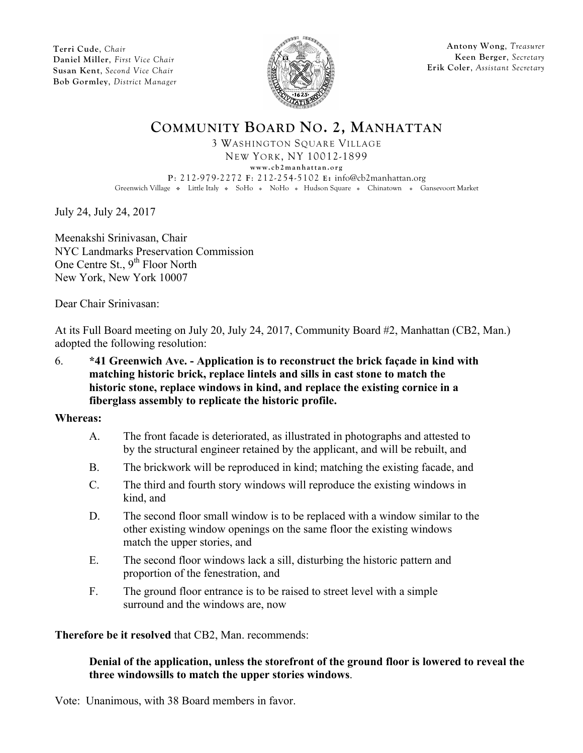

**Antony Wong**, *Treasurer* **Keen Berger**, *Secretary* **Erik Coler**, *Assistant Secretary*

## **COMMUNITY BOARD NO. 2, MANHATTAN**

3 WASHINGTON SQUARE VILLAGE NEW YORK, NY 10012-1899 **www.cb2manhattan.org P**: 212-979-2272 **F**: 212-254-5102 **E:** info@cb2manhattan.org Greenwich Village • Little Italy • SoHo • NoHo • Hudson Square • Chinatown • Gansevoort Market

July 24, July 24, 2017

Meenakshi Srinivasan, Chair NYC Landmarks Preservation Commission One Centre St., 9<sup>th</sup> Floor North New York, New York 10007

Dear Chair Srinivasan:

At its Full Board meeting on July 20, July 24, 2017, Community Board #2, Manhattan (CB2, Man.) adopted the following resolution:

6. **\*41 Greenwich Ave. - Application is to reconstruct the brick façade in kind with matching historic brick, replace lintels and sills in cast stone to match the historic stone, replace windows in kind, and replace the existing cornice in a fiberglass assembly to replicate the historic profile.**

**Whereas:**

- A. The front facade is deteriorated, as illustrated in photographs and attested to by the structural engineer retained by the applicant, and will be rebuilt, and
- B. The brickwork will be reproduced in kind; matching the existing facade, and
- C. The third and fourth story windows will reproduce the existing windows in kind, and
- D. The second floor small window is to be replaced with a window similar to the other existing window openings on the same floor the existing windows match the upper stories, and
- E. The second floor windows lack a sill, disturbing the historic pattern and proportion of the fenestration, and
- F. The ground floor entrance is to be raised to street level with a simple surround and the windows are, now

**Therefore be it resolved** that CB2, Man. recommends:

### **Denial of the application, unless the storefront of the ground floor is lowered to reveal the three windowsills to match the upper stories windows**.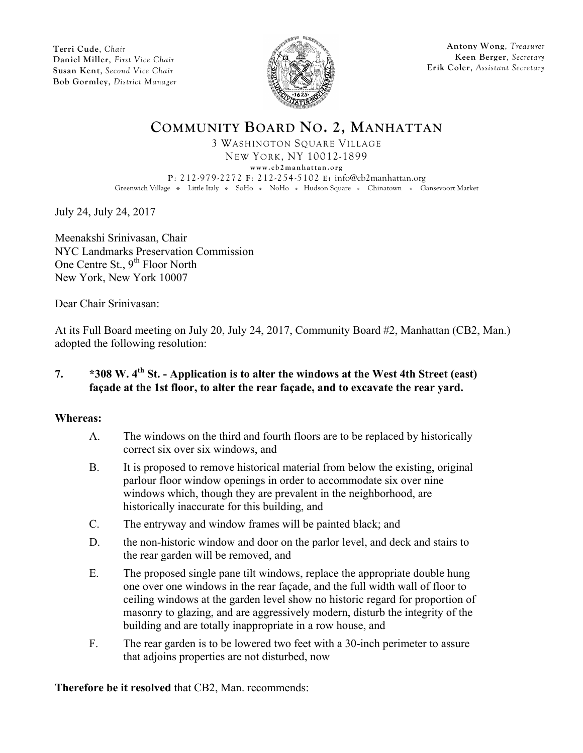

**Antony Wong**, *Treasurer* **Keen Berger**, *Secretary* **Erik Coler**, *Assistant Secretary*

# **COMMUNITY BOARD NO. 2, MANHATTAN**

3 WASHINGTON SQUARE VILLAGE NEW YORK, NY 10012-1899 **www.cb2manhattan.org P**: 212-979-2272 **F**: 212-254-5102 **E:** info@cb2manhattan.org Greenwich Village • Little Italy • SoHo • NoHo • Hudson Square • Chinatown • Gansevoort Market

July 24, July 24, 2017

Meenakshi Srinivasan, Chair NYC Landmarks Preservation Commission One Centre St., 9<sup>th</sup> Floor North New York, New York 10007

Dear Chair Srinivasan:

At its Full Board meeting on July 20, July 24, 2017, Community Board #2, Manhattan (CB2, Man.) adopted the following resolution:

### **7. \*308 W. 4th St. - Application is to alter the windows at the West 4th Street (east) façade at the 1st floor, to alter the rear façade, and to excavate the rear yard.**

#### **Whereas:**

- A. The windows on the third and fourth floors are to be replaced by historically correct six over six windows, and
- B. It is proposed to remove historical material from below the existing, original parlour floor window openings in order to accommodate six over nine windows which, though they are prevalent in the neighborhood, are historically inaccurate for this building, and
- C. The entryway and window frames will be painted black; and
- D. the non-historic window and door on the parlor level, and deck and stairs to the rear garden will be removed, and
- E. The proposed single pane tilt windows, replace the appropriate double hung one over one windows in the rear façade, and the full width wall of floor to ceiling windows at the garden level show no historic regard for proportion of masonry to glazing, and are aggressively modern, disturb the integrity of the building and are totally inappropriate in a row house, and
- F. The rear garden is to be lowered two feet with a 30-inch perimeter to assure that adjoins properties are not disturbed, now

**Therefore be it resolved** that CB2, Man. recommends: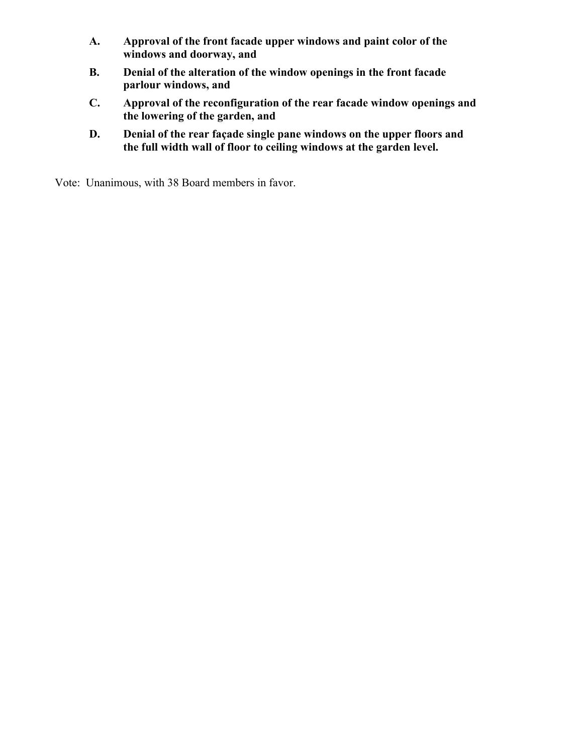- **A. Approval of the front facade upper windows and paint color of the windows and doorway, and**
- **B. Denial of the alteration of the window openings in the front facade parlour windows, and**
- **C. Approval of the reconfiguration of the rear facade window openings and the lowering of the garden, and**
- **D. Denial of the rear façade single pane windows on the upper floors and the full width wall of floor to ceiling windows at the garden level.**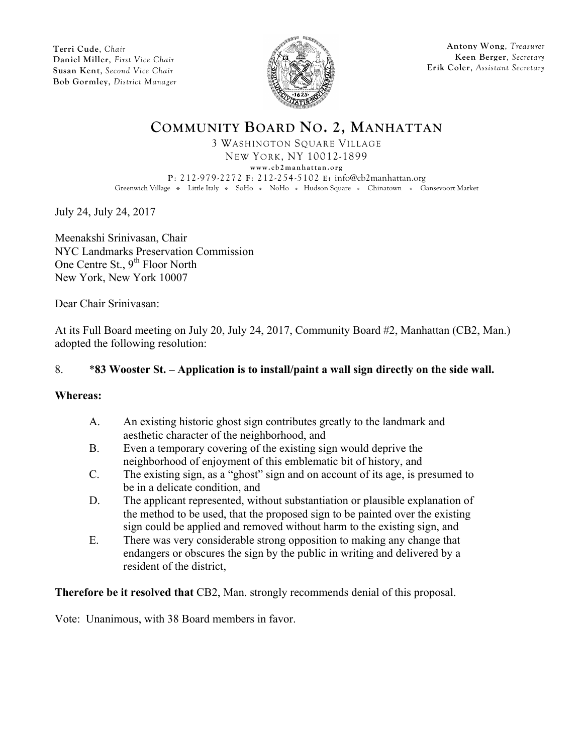

**Antony Wong**, *Treasurer* **Keen Berger**, *Secretary* **Erik Coler**, *Assistant Secretary*

# **COMMUNITY BOARD NO. 2, MANHATTAN**

3 WASHINGTON SQUARE VILLAGE NEW YORK, NY 10012-1899 **www.cb2manhattan.org P**: 212-979-2272 **F**: 212-254-5102 **E:** info@cb2manhattan.org Greenwich Village • Little Italy • SoHo • NoHo • Hudson Square • Chinatown • Gansevoort Market

July 24, July 24, 2017

Meenakshi Srinivasan, Chair NYC Landmarks Preservation Commission One Centre St., 9<sup>th</sup> Floor North New York, New York 10007

Dear Chair Srinivasan:

At its Full Board meeting on July 20, July 24, 2017, Community Board #2, Manhattan (CB2, Man.) adopted the following resolution:

### 8. \***83 Wooster St. – Application is to install/paint a wall sign directly on the side wall.**

#### **Whereas:**

- A. An existing historic ghost sign contributes greatly to the landmark and aesthetic character of the neighborhood, and
- B. Even a temporary covering of the existing sign would deprive the neighborhood of enjoyment of this emblematic bit of history, and
- C. The existing sign, as a "ghost" sign and on account of its age, is presumed to be in a delicate condition, and
- D. The applicant represented, without substantiation or plausible explanation of the method to be used, that the proposed sign to be painted over the existing sign could be applied and removed without harm to the existing sign, and
- E. There was very considerable strong opposition to making any change that endangers or obscures the sign by the public in writing and delivered by a resident of the district,

**Therefore be it resolved that** CB2, Man. strongly recommends denial of this proposal.